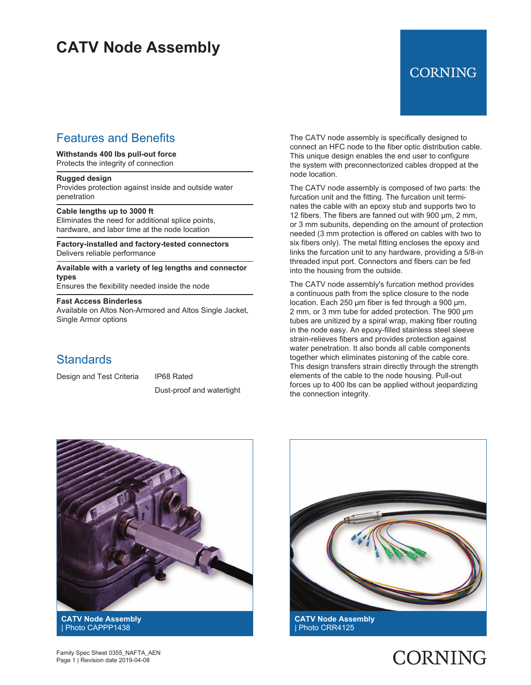## **CATV Node Assembly**

### Features and Benefits

#### **Withstands 400 lbs pull-out force**

Protects the integrity of connection

### **Rugged design**

Provides protection against inside and outside water penetration

#### **Cable lengths up to 3000 ft**

Eliminates the need for additional splice points, hardware, and labor time at the node location

**Factory-installed and factory-tested connectors** Delivers reliable performance

**Available with a variety of leg lengths and connector types**

Ensures the flexibility needed inside the node

#### **Fast Access Binderless**

Available on Altos Non-Armored and Altos Single Jacket, Single Armor options

### **Standards**

Design and Test Criteria IP68 Rated

Dust-proof and watertight

The CATV node assembly is specifically designed to connect an HFC node to the fiber optic distribution cable. This unique design enables the end user to configure the system with preconnectorized cables dropped at the node location.

The CATV node assembly is composed of two parts: the furcation unit and the fitting. The furcation unit terminates the cable with an epoxy stub and supports two to 12 fibers. The fibers are fanned out with 900 µm, 2 mm, or 3 mm subunits, depending on the amount of protection needed (3 mm protection is offered on cables with two to six fibers only). The metal fitting encloses the epoxy and links the furcation unit to any hardware, providing a 5/8-in threaded input port. Connectors and fibers can be fed into the housing from the outside.

The CATV node assembly's furcation method provides a continuous path from the splice closure to the node location. Each 250 µm fiber is fed through a 900 µm, 2 mm, or 3 mm tube for added protection. The 900 µm tubes are unitized by a spiral wrap, making fiber routing in the node easy. An epoxy-filled stainless steel sleeve strain-relieves fibers and provides protection against water penetration. It also bonds all cable components together which eliminates pistoning of the cable core. This design transfers strain directly through the strength elements of the cable to the node housing. Pull-out forces up to 400 lbs can be applied without jeopardizing the connection integrity.



| Photo CAPPP1438



**CATV Node Assembly** | Photo CRR4125

**CORNING** 

Family Spec Sheet 0355\_NAFTA\_AEN Page 1 | Revision date 2019-04-08

## **CORNING**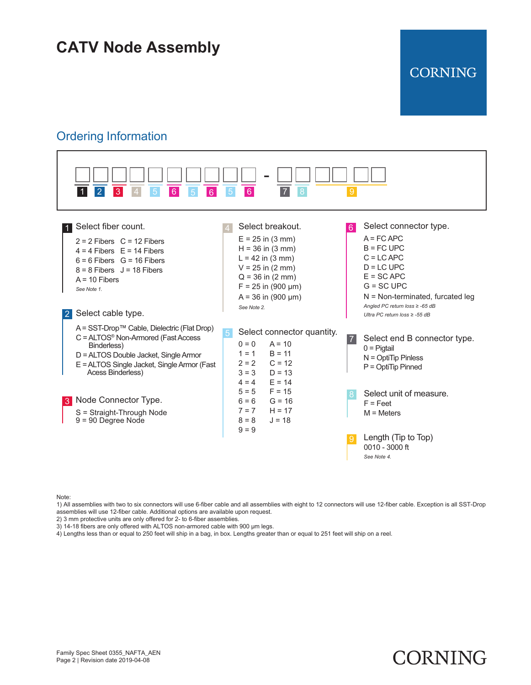# **CATV Node Assembly**

### Ordering Information



**CORNING** 

CORNING

Note:

1) All assemblies with two to six connectors will use 6-fiber cable and all assemblies with eight to 12 connectors will use 12-fiber cable. Exception is all SST-Drop assemblies will use 12-fiber cable. Additional options are available upon request.

2) 3 mm protective units are only offered for 2- to 6-fiber assemblies.

3) 14-18 fibers are only offered with ALTOS non-armored cable with 900 µm legs.

4) Lengths less than or equal to 250 feet will ship in a bag, in box. Lengths greater than or equal to 251 feet will ship on a reel.